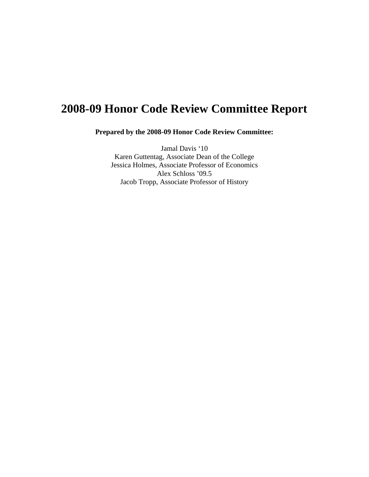# **2008-09 Honor Code Review Committee Report**

**Prepared by the 2008-09 Honor Code Review Committee:** 

Jamal Davis '10 Karen Guttentag, Associate Dean of the College Jessica Holmes, Associate Professor of Economics Alex Schloss '09.5 Jacob Tropp, Associate Professor of History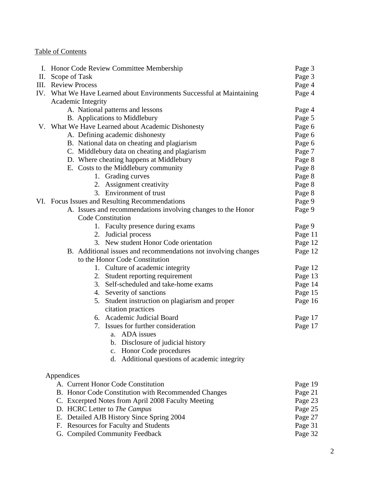# Table of Contents

|    | Honor Code Review Committee Membership                                |                    |  |  |  |  |  |  |
|----|-----------------------------------------------------------------------|--------------------|--|--|--|--|--|--|
| П. | Scope of Task                                                         | Page 3             |  |  |  |  |  |  |
|    | <b>III.</b> Review Process                                            | Page 4             |  |  |  |  |  |  |
|    | IV. What We Have Learned about Environments Successful at Maintaining | Page 4             |  |  |  |  |  |  |
|    | Academic Integrity                                                    |                    |  |  |  |  |  |  |
|    | A. National patterns and lessons                                      |                    |  |  |  |  |  |  |
|    | B. Applications to Middlebury                                         | Page 5             |  |  |  |  |  |  |
|    | V. What We Have Learned about Academic Dishonesty                     | Page 6             |  |  |  |  |  |  |
|    | A. Defining academic dishonesty                                       | Page 6             |  |  |  |  |  |  |
|    | B. National data on cheating and plagiarism                           | Page 6             |  |  |  |  |  |  |
|    | C. Middlebury data on cheating and plagiarism                         | Page 7             |  |  |  |  |  |  |
|    | D. Where cheating happens at Middlebury                               | Page 8             |  |  |  |  |  |  |
|    | E. Costs to the Middlebury community                                  | Page 8             |  |  |  |  |  |  |
|    | 1. Grading curves                                                     | Page 8             |  |  |  |  |  |  |
|    | 2. Assignment creativity                                              | Page 8             |  |  |  |  |  |  |
|    | 3. Environment of trust                                               | Page 8             |  |  |  |  |  |  |
|    | VI. Focus Issues and Resulting Recommendations                        | Page 9             |  |  |  |  |  |  |
|    | A. Issues and recommendations involving changes to the Honor          | Page 9             |  |  |  |  |  |  |
|    | Code Constitution                                                     |                    |  |  |  |  |  |  |
|    | 1. Faculty presence during exams                                      | Page 9             |  |  |  |  |  |  |
|    | 2. Judicial process                                                   | Page 11            |  |  |  |  |  |  |
|    | 3. New student Honor Code orientation                                 | Page 12            |  |  |  |  |  |  |
|    | B. Additional issues and recommendations not involving changes        | Page 12            |  |  |  |  |  |  |
|    | to the Honor Code Constitution                                        |                    |  |  |  |  |  |  |
|    | 1. Culture of academic integrity                                      | Page 12            |  |  |  |  |  |  |
|    | 2. Student reporting requirement                                      | Page 13            |  |  |  |  |  |  |
|    | 3. Self-scheduled and take-home exams                                 | Page 14            |  |  |  |  |  |  |
|    | 4. Severity of sanctions                                              | Page 15            |  |  |  |  |  |  |
|    | 5. Student instruction on plagiarism and proper                       | Page 16            |  |  |  |  |  |  |
|    | citation practices                                                    |                    |  |  |  |  |  |  |
|    | 6. Academic Judicial Board                                            | Page 17            |  |  |  |  |  |  |
|    | 7. Issues for further consideration                                   | Page 17            |  |  |  |  |  |  |
|    | a. ADA issues                                                         |                    |  |  |  |  |  |  |
|    | Disclosure of judicial history<br>b.                                  |                    |  |  |  |  |  |  |
|    | Honor Code procedures<br>c.                                           |                    |  |  |  |  |  |  |
|    | Additional questions of academic integrity<br>d.                      |                    |  |  |  |  |  |  |
|    |                                                                       |                    |  |  |  |  |  |  |
|    | Appendices                                                            | Page 19            |  |  |  |  |  |  |
|    | A. Current Honor Code Constitution                                    |                    |  |  |  |  |  |  |
|    | B. Honor Code Constitution with Recommended Changes                   |                    |  |  |  |  |  |  |
|    | C. Excerpted Notes from April 2008 Faculty Meeting                    |                    |  |  |  |  |  |  |
|    | D. HCRC Letter to The Campus                                          | Page 25            |  |  |  |  |  |  |
|    | E. Detailed AJB History Since Spring 2004                             | Page 27            |  |  |  |  |  |  |
|    | F. Resources for Faculty and Students                                 | Page 31<br>Page 32 |  |  |  |  |  |  |
|    | G. Compiled Community Feedback                                        |                    |  |  |  |  |  |  |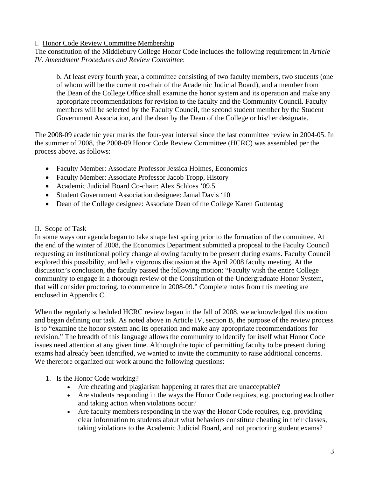### I. Honor Code Review Committee Membership

The constitution of the Middlebury College Honor Code includes the following requirement in *Article IV. Amendment Procedures and Review Committee*:

b. At least every fourth year, a committee consisting of two faculty members, two students (one of whom will be the current co-chair of the Academic Judicial Board), and a member from the Dean of the College Office shall examine the honor system and its operation and make any appropriate recommendations for revision to the faculty and the Community Council. Faculty members will be selected by the Faculty Council, the second student member by the Student Government Association, and the dean by the Dean of the College or his/her designate.

The 2008-09 academic year marks the four-year interval since the last committee review in 2004-05. In the summer of 2008, the 2008-09 Honor Code Review Committee (HCRC) was assembled per the process above, as follows:

- Faculty Member: Associate Professor Jessica Holmes, Economics
- Faculty Member: Associate Professor Jacob Tropp, History
- Academic Judicial Board Co-chair: Alex Schloss '09.5
- Student Government Association designee: Jamal Davis '10
- Dean of the College designee: Associate Dean of the College Karen Guttentag

# II. Scope of Task

In some ways our agenda began to take shape last spring prior to the formation of the committee. At the end of the winter of 2008, the Economics Department submitted a proposal to the Faculty Council requesting an institutional policy change allowing faculty to be present during exams. Faculty Council explored this possibility, and led a vigorous discussion at the April 2008 faculty meeting. At the discussion's conclusion, the faculty passed the following motion: "Faculty wish the entire College community to engage in a thorough review of the Constitution of the Undergraduate Honor System, that will consider proctoring, to commence in 2008-09." Complete notes from this meeting are enclosed in Appendix C.

When the regularly scheduled HCRC review began in the fall of 2008, we acknowledged this motion and began defining our task. As noted above in Article IV, section B, the purpose of the review process is to "examine the honor system and its operation and make any appropriate recommendations for revision." The breadth of this language allows the community to identify for itself what Honor Code issues need attention at any given time. Although the topic of permitting faculty to be present during exams had already been identified, we wanted to invite the community to raise additional concerns. We therefore organized our work around the following questions:

- 1. Is the Honor Code working?
	- Are cheating and plagiarism happening at rates that are unacceptable?
	- Are students responding in the ways the Honor Code requires, e.g. proctoring each other and taking action when violations occur?
	- Are faculty members responding in the way the Honor Code requires, e.g. providing clear information to students about what behaviors constitute cheating in their classes, taking violations to the Academic Judicial Board, and not proctoring student exams?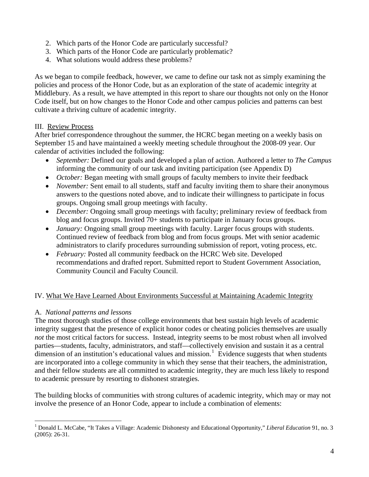- <span id="page-3-0"></span>2. Which parts of the Honor Code are particularly successful?
- 3. Which parts of the Honor Code are particularly problematic?
- 4. What solutions would address these problems?

As we began to compile feedback, however, we came to define our task not as simply examining the policies and process of the Honor Code, but as an exploration of the state of academic integrity at Middlebury. As a result, we have attempted in this report to share our thoughts not only on the Honor Code itself, but on how changes to the Honor Code and other campus policies and patterns can best cultivate a thriving culture of academic integrity.

# III. Review Process

After brief correspondence throughout the summer, the HCRC began meeting on a weekly basis on September 15 and have maintained a weekly meeting schedule throughout the 2008-09 year. Our calendar of activities included the following:

- *September:* Defined our goals and developed a plan of action. Authored a letter to *The Campus*  informing the community of our task and inviting participation (see Appendix D)
- *October:* Began meeting with small groups of faculty members to invite their feedback
- *November:* Sent email to all students, staff and faculty inviting them to share their anonymous answers to the questions noted above, and to indicate their willingness to participate in focus groups. Ongoing small group meetings with faculty.
- *December:* Ongoing small group meetings with faculty; preliminary review of feedback from blog and focus groups. Invited 70+ students to participate in January focus groups.
- *January:* Ongoing small group meetings with faculty. Larger focus groups with students. Continued review of feedback from blog and from focus groups. Met with senior academic administrators to clarify procedures surrounding submission of report, voting process, etc.
- *February:* Posted all community feedback on the HCRC Web site. Developed recommendations and drafted report. Submitted report to Student Government Association, Community Council and Faculty Council.

# IV. What We Have Learned About Environments Successful at Maintaining Academic Integrity

# A. *National patterns and lessons*

The most thorough studies of those college environments that best sustain high levels of academic integrity suggest that the presence of explicit honor codes or cheating policies themselves are usually *not* the most critical factors for success. Instead, integrity seems to be most robust when all involved parties—students, faculty, administrators, and staff—collectively envision and sustain it as a central dimension of an institution's educational values and mission.<sup>[1](#page-3-0)</sup> Evidence suggests that when students are incorporated into a college community in which they sense that their teachers, the administration, and their fellow students are all committed to academic integrity, they are much less likely to respond to academic pressure by resorting to dishonest strategies.

The building blocks of communities with strong cultures of academic integrity, which may or may not involve the presence of an Honor Code, appear to include a combination of elements:

 $\overline{a}$ <sup>1</sup> Donald L. McCabe, "It Takes a Village: Academic Dishonesty and Educational Opportunity," Liberal Education 91, no. 3 (2005): 26-31.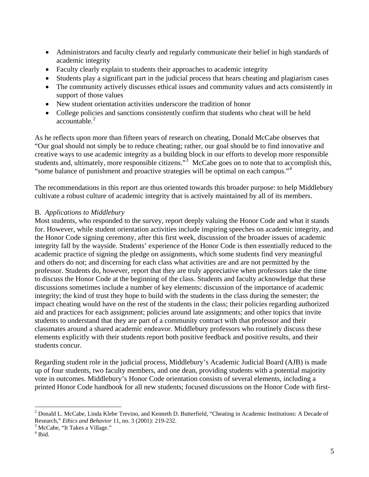- <span id="page-4-0"></span>• Administrators and faculty clearly and regularly communicate their belief in high standards of academic integrity
- Faculty clearly explain to students their approaches to academic integrity
- Students play a significant part in the judicial process that hears cheating and plagiarism cases
- The community actively discusses ethical issues and community values and acts consistently in support of those values
- New student orientation activities underscore the tradition of honor
- College policies and sanctions consistently confirm that students who cheat will be held accountable.<sup>[2](#page-4-0)</sup>

As he reflects upon more than fifteen years of research on cheating, Donald McCabe observes that "Our goal should not simply be to reduce cheating; rather, our goal should be to find innovative and creative ways to use academic integrity as a building block in our efforts to develop more responsible students and, ultimately, more responsible citizens."<sup>[3](#page-4-0)</sup> McCabe goes on to note that to accomplish this, "some balance of punishment and proactive strategies will be optimal on each campus."[4](#page-4-0)

The recommendations in this report are thus oriented towards this broader purpose: to help Middlebury cultivate a robust culture of academic integrity that is actively maintained by all of its members.

# B. *Applications to Middlebury*

Most students, who responded to the survey, report deeply valuing the Honor Code and what it stands for. However, while student orientation activities include inspiring speeches on academic integrity, and the Honor Code signing ceremony, after this first week, discussion of the broader issues of academic integrity fall by the wayside. Students' experience of the Honor Code is then essentially reduced to the academic practice of signing the pledge on assignments, which some students find very meaningful and others do not; and discerning for each class what activities are and are not permitted by the professor. Students do, however, report that they are truly appreciative when professors take the time to discuss the Honor Code at the beginning of the class. Students and faculty acknowledge that these discussions sometimes include a number of key elements: discussion of the importance of academic integrity; the kind of trust they hope to build with the students in the class during the semester; the impact cheating would have on the rest of the students in the class; their policies regarding authorized aid and practices for each assignment; policies around late assignments; and other topics that invite students to understand that they are part of a community contract with that professor and their classmates around a shared academic endeavor. Middlebury professors who routinely discuss these elements explicitly with their students report both positive feedback and positive results, and their students concur.

Regarding student role in the judicial process, Middlebury's Academic Judicial Board (AJB) is made up of four students, two faculty members, and one dean, providing students with a potential majority vote in outcomes. Middlebury's Honor Code orientation consists of several elements, including a printed Honor Code handbook for all new students; focused discussions on the Honor Code with first-

 $\overline{a}$  $2$  Donald L. McCabe, Linda Klebe Trevino, and Kenneth D. Butterfield, "Cheating in Academic Institutions: A Decade of Research," *Ethics and Behavior* 11, no. 3 (2001): 219-232. 3

 $3$  McCabe, "It Takes a Village."

<sup>4</sup> Ibid.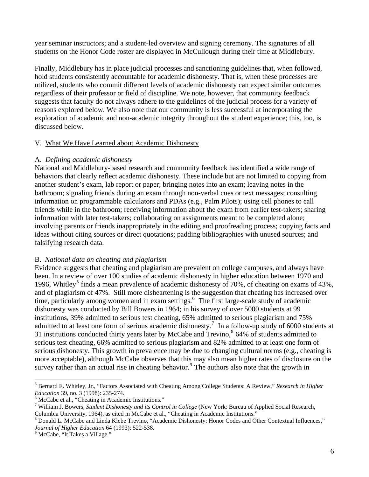<span id="page-5-0"></span>year seminar instructors; and a student-led overview and signing ceremony. The signatures of all students on the Honor Code roster are displayed in McCullough during their time at Middlebury.

Finally, Middlebury has in place judicial processes and sanctioning guidelines that, when followed, hold students consistently accountable for academic dishonesty. That is, when these processes are utilized, students who commit different levels of academic dishonesty can expect similar outcomes regardless of their professor or field of discipline. We note, however, that community feedback suggests that faculty do not always adhere to the guidelines of the judicial process for a variety of reasons explored below. We also note that our community is less successful at incorporating the exploration of academic and non-academic integrity throughout the student experience; this, too, is discussed below.

#### V. What We Have Learned about Academic Dishonesty

# A. *Defining academic dishonesty*

National and Middlebury-based research and community feedback has identified a wide range of behaviors that clearly reflect academic dishonesty. These include but are not limited to copying from another student's exam, lab report or paper; bringing notes into an exam; leaving notes in the bathroom; signaling friends during an exam through non-verbal cues or text messages; consulting information on programmable calculators and PDAs (e.g., Palm Pilots); using cell phones to call friends while in the bathroom; receiving information about the exam from earlier test-takers; sharing information with later test-takers; collaborating on assignments meant to be completed alone; involving parents or friends inappropriately in the editing and proofreading process; copying facts and ideas without citing sources or direct quotations; padding bibliographies with unused sources; and falsifying research data.

# B. *National data on cheating and plagiarism*

Evidence suggests that cheating and plagiarism are prevalent on college campuses, and always have been. In a review of over 100 studies of academic dishonesty in higher education between 1970 and 1996, Whitley<sup>[5](#page-5-0)</sup> finds a mean prevalence of academic dishonesty of 70%, of cheating on exams of 43%, and of plagiarism of 47%. Still more disheartening is the suggestion that cheating has increased over time, particularly among women and in exam settings.<sup>[6](#page-5-0)</sup> The first large-scale study of academic dishonesty was conducted by Bill Bowers in 1964; in his survey of over 5000 students at 99 institutions, 39% admitted to serious test cheating, 65% admitted to serious plagiarism and 75% admitted to at least one form of serious academic dishonesty.<sup>[7](#page-5-0)</sup> In a follow-up study of 6000 students at 31 institutions conducted thirty years later by McCabe and Trevino, $864\%$  $864\%$  of students admitted to serious test cheating, 66% admitted to serious plagiarism and 82% admitted to at least one form of serious dishonesty. This growth in prevalence may be due to changing cultural norms (e.g., cheating is more acceptable), although McCabe observes that this may also mean higher rates of disclosure on the survey rather than an actual rise in cheating behavior.<sup>[9](#page-5-0)</sup> The authors also note that the growth in

<sup>9</sup> McCabe, "It Takes a Village."

 $\overline{a}$ 5 Bernard E. Whitley, Jr., "Factors Associated with Cheating Among College Students: A Review," *Research in Higher Education* 39, no. 3 (1998): 235-274.

<sup>&</sup>lt;sup>6</sup> McCabe et al., "Cheating in Academic Institutions."

<sup>7</sup> William J. Bowers, *Student Dishonesty and its Control in College* (New York: Bureau of Applied Social Research, Columbia University, 1964), as cited in McCabe et al., "Cheating in Academic Institutions."

<sup>&</sup>lt;sup>8</sup> Donald L. McCabe and Linda Klebe Trevino, "Academic Dishonesty: Honor Codes and Other Contextual Influences," *Journal of Higher Education* 64 (1993): 522-538. 9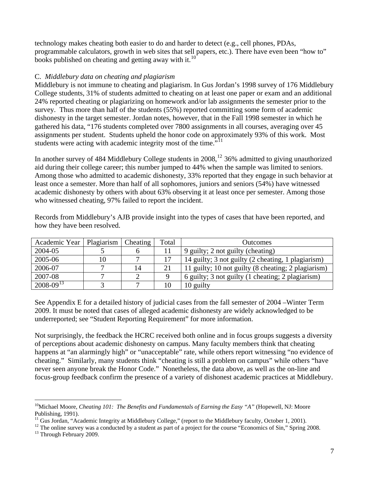<span id="page-6-0"></span>technology makes cheating both easier to do and harder to detect (e.g., cell phones, PDAs, programmable calculators, growth in web sites that sell papers, etc.). There have even been "how to" books published on cheating and getting away with it. $^{10}$  $^{10}$  $^{10}$ 

# C. *Middlebury data on cheating and plagiarism*

Middlebury is not immune to cheating and plagiarism. In Gus Jordan's 1998 survey of 176 Middlebury College students, 31% of students admitted to cheating on at least one paper or exam and an additional 24% reported cheating or plagiarizing on homework and/or lab assignments the semester prior to the survey. Thus more than half of the students (55%) reported committing some form of academic dishonesty in the target semester. Jordan notes, however, that in the Fall 1998 semester in which he gathered his data, "176 students completed over 7800 assignments in all courses, averaging over 45 assignments per student. Students upheld the honor code on approximately 93% of this work. Most students were acting with academic integrity most of the time."<sup>[11](#page-6-0)</sup>

In another survey of 484 Middlebury College students in 2008,<sup>[12](#page-6-0)</sup> 36% admitted to giving unauthorized aid during their college career; this number jumped to 44% when the sample was limited to seniors. Among those who admitted to academic dishonesty, 33% reported that they engage in such behavior at least once a semester. More than half of all sophomores, juniors and seniors (54%) have witnessed academic dishonesty by others with about 63% observing it at least once per semester. Among those who witnessed cheating, 97% failed to report the incident.

Records from Middlebury's AJB provide insight into the types of cases that have been reported, and how they have been resolved.

| Academic Year    | Plagiarism | Cheating | Total | <b>Outcomes</b>                                     |
|------------------|------------|----------|-------|-----------------------------------------------------|
| 2004-05          |            | o        |       | 9 guilty; 2 not guilty (cheating)                   |
| 2005-06          |            |          | 17    | 14 guilty; 3 not guilty (2 cheating, 1 plagiarism)  |
| 2006-07          |            | 14       | 21    | 11 guilty; 10 not guilty (8 cheating; 2 plagiarism) |
| 2007-08          |            |          |       | 6 guilty; 3 not guilty (1 cheating; 2 plagiarism)   |
| $2008 - 09^{13}$ |            |          | 10    | 10 guilty                                           |

See Appendix E for a detailed history of judicial cases from the fall semester of 2004 –Winter Term 2009. It must be noted that cases of alleged academic dishonesty are widely acknowledged to be underreported; see "Student Reporting Requirement" for more information.

Not surprisingly, the feedback the HCRC received both online and in focus groups suggests a diversity of perceptions about academic dishonesty on campus. Many faculty members think that cheating happens at "an alarmingly high" or "unacceptable" rate, while others report witnessing "no evidence of cheating." Similarly, many students think "cheating is still a problem on campus" while others "have never seen anyone break the Honor Code." Nonetheless, the data above, as well as the on-line and focus-group feedback confirm the presence of a variety of dishonest academic practices at Middlebury.

 $\overline{a}$ 

<sup>&</sup>lt;sup>10</sup>Michael Moore, *Cheating 101: The Benefits and Fundamentals of Earning the Easy "A"* (Hopewell, NJ: Moore Publishing, 1991).<br><sup>11</sup> Gus Jordan, "Academic Integrity at Middlebury College," (report to the Middlebury faculty, October 1, 2001).

<sup>&</sup>lt;sup>12</sup> The online survey was a conducted by a student as part of a project for the course "Economics of Sin," Spring 2008.

<sup>&</sup>lt;sup>13</sup> Through February 2009.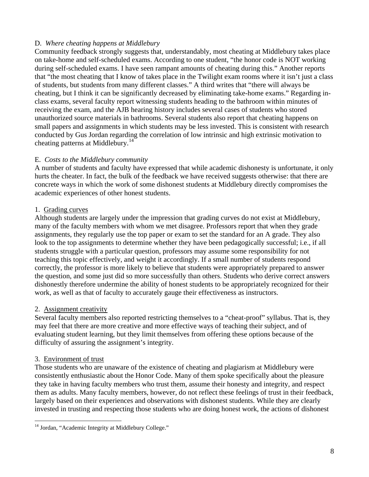# <span id="page-7-0"></span>D. *Where cheating happens at Middlebury*

Community feedback strongly suggests that, understandably, most cheating at Middlebury takes place on take-home and self-scheduled exams. According to one student, "the honor code is NOT working during self-scheduled exams. I have seen rampant amounts of cheating during this." Another reports that "the most cheating that I know of takes place in the Twilight exam rooms where it isn't just a class of students, but students from many different classes." A third writes that "there will always be cheating, but I think it can be significantly decreased by eliminating take-home exams." Regarding inclass exams, several faculty report witnessing students heading to the bathroom within minutes of receiving the exam, and the AJB hearing history includes several cases of students who stored unauthorized source materials in bathrooms. Several students also report that cheating happens on small papers and assignments in which students may be less invested. This is consistent with research conducted by Gus Jordan regarding the correlation of low intrinsic and high extrinsic motivation to cheating patterns at Middlebury.<sup>[14](#page-7-0)</sup>

# E. *Costs to the Middlebury community*

A number of students and faculty have expressed that while academic dishonesty is unfortunate, it only hurts the cheater. In fact, the bulk of the feedback we have received suggests otherwise: that there are concrete ways in which the work of some dishonest students at Middlebury directly compromises the academic experiences of other honest students.

# 1. Grading curves

Although students are largely under the impression that grading curves do not exist at Middlebury, many of the faculty members with whom we met disagree. Professors report that when they grade assignments, they regularly use the top paper or exam to set the standard for an A grade. They also look to the top assignments to determine whether they have been pedagogically successful; i.e., if all students struggle with a particular question, professors may assume some responsibility for not teaching this topic effectively, and weight it accordingly. If a small number of students respond correctly, the professor is more likely to believe that students were appropriately prepared to answer the question, and some just did so more successfully than others. Students who derive correct answers dishonestly therefore undermine the ability of honest students to be appropriately recognized for their work, as well as that of faculty to accurately gauge their effectiveness as instructors.

# 2. Assignment creativity

Several faculty members also reported restricting themselves to a "cheat-proof" syllabus. That is, they may feel that there are more creative and more effective ways of teaching their subject, and of evaluating student learning, but they limit themselves from offering these options because of the difficulty of assuring the assignment's integrity.

# 3. Environment of trust

Those students who are unaware of the existence of cheating and plagiarism at Middlebury were consistently enthusiastic about the Honor Code. Many of them spoke specifically about the pleasure they take in having faculty members who trust them, assume their honesty and integrity, and respect them as adults. Many faculty members, however, do not reflect these feelings of trust in their feedback, largely based on their experiences and observations with dishonest students. While they are clearly invested in trusting and respecting those students who are doing honest work, the actions of dishonest

 $\overline{a}$ <sup>14</sup> Jordan, "Academic Integrity at Middlebury College."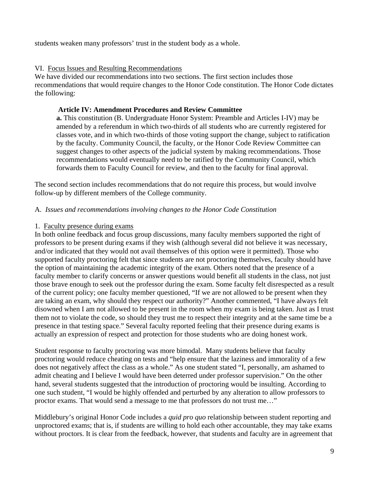students weaken many professors' trust in the student body as a whole.

#### VI. Focus Issues and Resulting Recommendations

We have divided our recommendations into two sections. The first section includes those recommendations that would require changes to the Honor Code constitution. The Honor Code dictates the following:

#### **Article IV: Amendment Procedures and Review Committee**

**a.** This constitution (B. Undergraduate Honor System: Preamble and Articles I-IV) may be amended by a referendum in which two-thirds of all students who are currently registered for classes vote, and in which two-thirds of those voting support the change, subject to ratification by the faculty. Community Council, the faculty, or the Honor Code Review Committee can suggest changes to other aspects of the judicial system by making recommendations. Those recommendations would eventually need to be ratified by the Community Council, which forwards them to Faculty Council for review, and then to the faculty for final approval.

The second section includes recommendations that do not require this process, but would involve follow-up by different members of the College community.

#### A. *Issues and recommendations involving changes to the Honor Code Constitution*

#### 1. Faculty presence during exams

In both online feedback and focus group discussions, many faculty members supported the right of professors to be present during exams if they wish (although several did not believe it was necessary, and/or indicated that they would not avail themselves of this option were it permitted). Those who supported faculty proctoring felt that since students are not proctoring themselves, faculty should have the option of maintaining the academic integrity of the exam. Others noted that the presence of a faculty member to clarify concerns or answer questions would benefit all students in the class, not just those brave enough to seek out the professor during the exam. Some faculty felt disrespected as a result of the current policy; one faculty member questioned, "If we are not allowed to be present when they are taking an exam, why should they respect our authority?" Another commented, "I have always felt disowned when I am not allowed to be present in the room when my exam is being taken. Just as I trust them not to violate the code, so should they trust me to respect their integrity and at the same time be a presence in that testing space." Several faculty reported feeling that their presence during exams is actually an expression of respect and protection for those students who are doing honest work.

Student response to faculty proctoring was more bimodal. Many students believe that faculty proctoring would reduce cheating on tests and "help ensure that the laziness and immorality of a few does not negatively affect the class as a whole." As one student stated "I, personally, am ashamed to admit cheating and I believe I would have been deterred under professor supervision." On the other hand, several students suggested that the introduction of proctoring would be insulting. According to one such student, "I would be highly offended and perturbed by any alteration to allow professors to proctor exams. That would send a message to me that professors do not trust me…"

Middlebury's original Honor Code includes a *quid pro quo* relationship between student reporting and unproctored exams; that is, if students are willing to hold each other accountable, they may take exams without proctors. It is clear from the feedback, however, that students and faculty are in agreement that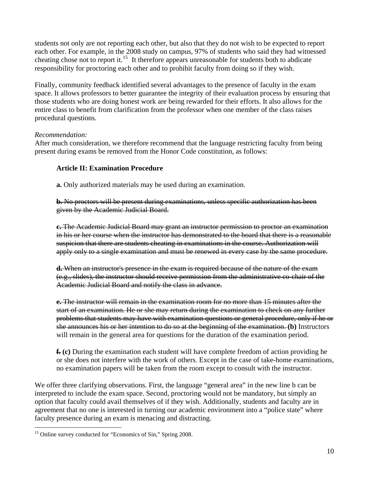<span id="page-9-0"></span>students not only are not reporting each other, but also that they do not wish to be expected to report each other. For example, in the 2008 study on campus, 97% of students who said they had witnessed cheating chose not to report it.<sup>[15](#page-9-0)</sup> It therefore appears unreasonable for students both to abdicate responsibility for proctoring each other and to prohibit faculty from doing so if they wish.

Finally, community feedback identified several advantages to the presence of faculty in the exam space. It allows professors to better guarantee the integrity of their evaluation process by ensuring that those students who are doing honest work are being rewarded for their efforts. It also allows for the entire class to benefit from clarification from the professor when one member of the class raises procedural questions.

#### *Recommendation:*

After much consideration, we therefore recommend that the language restricting faculty from being present during exams be removed from the Honor Code constitution, as follows:

# **Article II: Examination Procedure**

**a.** Only authorized materials may be used during an examination.

**b.** No proctors will be present during examinations, unless specific authorization has been given by the Academic Judicial Board.

**c.** The Academic Judicial Board may grant an instructor permission to proctor an examination in his or her course when the instructor has demonstrated to the board that there is a reasonable suspicion that there are students cheating in examinations in the course. Authorization will apply only to a single examination and must be renewed in every case by the same procedure.

**d.** When an instructor's presence in the exam is required because of the nature of the exam (e.g., slides), the instructor should receive permission from the administrative co-chair of the Academic Judicial Board and notify the class in advance.

**e.** The instructor will remain in the examination room for no more than 15 minutes after the start of an examination. He or she may return during the examination to check on any further problems that students may have with examination questions or general procedure, only if he or she announces his or her intention to do so at the beginning of the examination. **(b)** Instructors will remain in the general area for questions for the duration of the examination period.

**f. (c)** During the examination each student will have complete freedom of action providing he or she does not interfere with the work of others. Except in the case of take-home examinations, no examination papers will be taken from the room except to consult with the instructor.

We offer three clarifying observations. First, the language "general area" in the new line b can be interpreted to include the exam space. Second, proctoring would not be mandatory, but simply an option that faculty could avail themselves of if they wish. Additionally, students and faculty are in agreement that no one is interested in turning our academic environment into a "police state" where faculty presence during an exam is menacing and distracting.

 $\overline{a}$ 

<sup>&</sup>lt;sup>15</sup> Online survey conducted for "Economics of Sin," Spring 2008.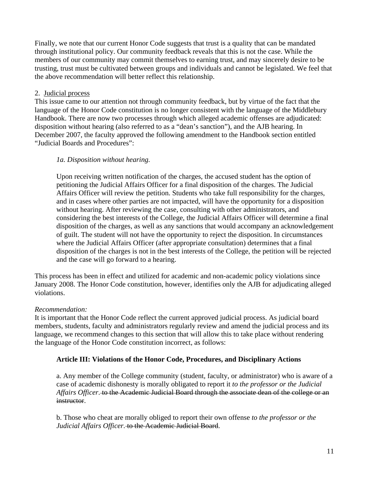Finally, we note that our current Honor Code suggests that trust is a quality that can be mandated through institutional policy. Our community feedback reveals that this is not the case. While the members of our community may commit themselves to earning trust, and may sincerely desire to be trusting, trust must be cultivated between groups and individuals and cannot be legislated. We feel that the above recommendation will better reflect this relationship.

#### 2. Judicial process

This issue came to our attention not through community feedback, but by virtue of the fact that the language of the Honor Code constitution is no longer consistent with the language of the Middlebury Handbook. There are now two processes through which alleged academic offenses are adjudicated: disposition without hearing (also referred to as a "dean's sanction"), and the AJB hearing. In December 2007, the faculty approved the following amendment to the Handbook section entitled "Judicial Boards and Procedures":

# *1a. Disposition without hearing.*

Upon receiving written notification of the charges, the accused student has the option of petitioning the Judicial Affairs Officer for a final disposition of the charges. The Judicial Affairs Officer will review the petition. Students who take full responsibility for the charges, and in cases where other parties are not impacted, will have the opportunity for a disposition without hearing. After reviewing the case, consulting with other administrators, and considering the best interests of the College, the Judicial Affairs Officer will determine a final disposition of the charges, as well as any sanctions that would accompany an acknowledgement of guilt. The student will not have the opportunity to reject the disposition. In circumstances where the Judicial Affairs Officer (after appropriate consultation) determines that a final disposition of the charges is not in the best interests of the College, the petition will be rejected and the case will go forward to a hearing.

This process has been in effect and utilized for academic and non-academic policy violations since January 2008. The Honor Code constitution, however, identifies only the AJB for adjudicating alleged violations.

# *Recommendation:*

It is important that the Honor Code reflect the current approved judicial process. As judicial board members, students, faculty and administrators regularly review and amend the judicial process and its language, we recommend changes to this section that will allow this to take place without rendering the language of the Honor Code constitution incorrect, as follows:

# **Article III: Violations of the Honor Code, Procedures, and Disciplinary Actions**

a. Any member of the College community (student, faculty, or administrator) who is aware of a case of academic dishonesty is morally obligated to report it *to the professor or the Judicial Affairs Officer*. to the Academic Judicial Board through the associate dean of the college or an instructor.

b. Those who cheat are morally obliged to report their own offense *to the professor or the Judicial Affairs Officer.* to the Academic Judicial Board.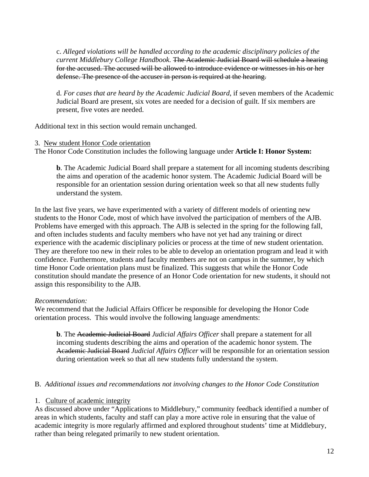c. *Alleged violations will be handled according to the academic disciplinary policies of the current Middlebury College Handbook.* The Academic Judicial Board will schedule a hearing for the accused. The accused will be allowed to introduce evidence or witnesses in his or her defense. The presence of the accuser in person is required at the hearing.

d. *For cases that are heard by the Academic Judicial Board*, if seven members of the Academic Judicial Board are present, six votes are needed for a decision of guilt. If six members are present, five votes are needed.

Additional text in this section would remain unchanged.

#### 3. New student Honor Code orientation

The Honor Code Constitution includes the following language under **Article I: Honor System:** 

**b**. The Academic Judicial Board shall prepare a statement for all incoming students describing the aims and operation of the academic honor system. The Academic Judicial Board will be responsible for an orientation session during orientation week so that all new students fully understand the system.

In the last five years, we have experimented with a variety of different models of orienting new students to the Honor Code, most of which have involved the participation of members of the AJB. Problems have emerged with this approach. The AJB is selected in the spring for the following fall, and often includes students and faculty members who have not yet had any training or direct experience with the academic disciplinary policies or process at the time of new student orientation. They are therefore too new in their roles to be able to develop an orientation program and lead it with confidence. Furthermore, students and faculty members are not on campus in the summer, by which time Honor Code orientation plans must be finalized. This suggests that while the Honor Code constitution should mandate the presence of an Honor Code orientation for new students, it should not assign this responsibility to the AJB.

#### *Recommendation:*

We recommend that the Judicial Affairs Officer be responsible for developing the Honor Code orientation process. This would involve the following language amendments:

**b**. The Academic Judicial Board *Judicial Affairs Officer* shall prepare a statement for all incoming students describing the aims and operation of the academic honor system. The Academic Judicial Board *Judicial Affairs Officer* will be responsible for an orientation session during orientation week so that all new students fully understand the system.

#### B. *Additional issues and recommendations not involving changes to the Honor Code Constitution*

#### 1. Culture of academic integrity

As discussed above under "Applications to Middlebury," community feedback identified a number of areas in which students, faculty and staff can play a more active role in ensuring that the value of academic integrity is more regularly affirmed and explored throughout students' time at Middlebury, rather than being relegated primarily to new student orientation.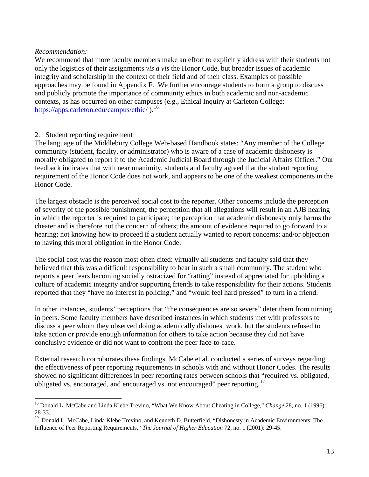#### <span id="page-12-0"></span>*Recommendation:*

 $\overline{a}$ 

We recommend that more faculty members make an effort to explicitly address with their students not only the logistics of their assignments *vis a vis* the Honor Code, but broader issues of academic integrity and scholarship in the context of their field and of their class. Examples of possible approaches may be found in Appendix F. We further encourage students to form a group to discuss and publicly promote the importance of community ethics in both academic and non-academic contexts, as has occurred on other campuses (e.g., Ethical Inquiry at Carleton College: https://apps.carleton.edu/campus/ethic/).<sup>[16](#page-12-0)</sup>

#### 2. Student reporting requirement

The language of the Middlebury College Web-based Handbook states: "Any member of the College community (student, faculty, or administrator) who is aware of a case of academic dishonesty is morally obligated to report it to the Academic Judicial Board through the Judicial Affairs Officer." Our feedback indicates that with near unanimity, students and faculty agreed that the student reporting requirement of the Honor Code does not work, and appears to be one of the weakest components in the Honor Code.

The largest obstacle is the perceived social cost to the reporter. Other concerns include the perception of severity of the possible punishment; the perception that all allegations will result in an AJB hearing in which the reporter is required to participate; the perception that academic dishonesty only harms the cheater and is therefore not the concern of others; the amount of evidence required to go forward to a hearing; not knowing how to proceed if a student actually wanted to report concerns; and/or objection to having this moral obligation in the Honor Code.

The social cost was the reason most often cited: virtually all students and faculty said that they believed that this was a difficult responsibility to bear in such a small community. The student who reports a peer fears becoming socially ostracized for "ratting" instead of appreciated for upholding a culture of academic integrity and/or supporting friends to take responsibility for their actions. Students reported that they "have no interest in policing," and "would feel hard pressed" to turn in a friend.

In other instances, students' perceptions that "the consequences are so severe" deter them from turning in peers. Some faculty members have described instances in which students met with professors to discuss a peer whom they observed doing academically dishonest work, but the students refused to take action or provide enough information for others to take action because they did not have conclusive evidence or did not want to confront the peer face-to-face.

External research corroborates these findings. McCabe et al. conducted a series of surveys regarding the effectiveness of peer reporting requirements in schools with and without Honor Codes. The results showed no significant differences in peer reporting rates between schools that "required vs. obligated, obligated vs. encouraged, and encouraged vs. not encouraged" peer reporting.<sup>[17](#page-12-0)</sup>

<sup>16</sup> Donald L. McCabe and Linda Klebe Trevino, "What We Know About Cheating in College," *Change* 28, no. 1 (1996): 28-33.

<sup>&</sup>lt;sup>17</sup> Donald L. McCabe, Linda Klebe Trevino, and Kenneth D. Butterfield, "Dishonesty in Academic Environments: The Influence of Peer Reporting Requirements," *The Journal of Higher Education* 72, no. 1 (2001): 29-45.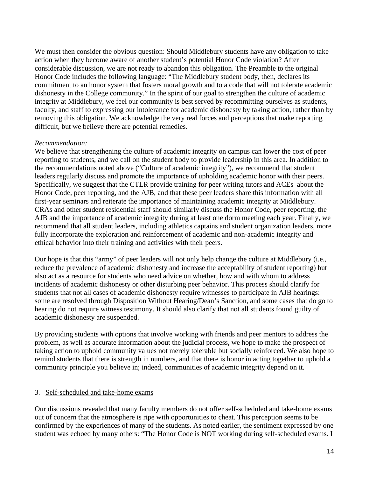We must then consider the obvious question: Should Middlebury students have any obligation to take action when they become aware of another student's potential Honor Code violation? After considerable discussion, we are not ready to abandon this obligation. The Preamble to the original Honor Code includes the following language: "The Middlebury student body, then, declares its commitment to an honor system that fosters moral growth and to a code that will not tolerate academic dishonesty in the College community." In the spirit of our goal to strengthen the culture of academic integrity at Middlebury, we feel our community is best served by recommitting ourselves as students, faculty, and staff to expressing our intolerance for academic dishonesty by taking action, rather than by removing this obligation. We acknowledge the very real forces and perceptions that make reporting difficult, but we believe there are potential remedies.

#### *Recommendation:*

We believe that strengthening the culture of academic integrity on campus can lower the cost of peer reporting to students, and we call on the student body to provide leadership in this area. In addition to the recommendations noted above ("Culture of academic integrity"), we recommend that student leaders regularly discuss and promote the importance of upholding academic honor with their peers. Specifically, we suggest that the CTLR provide training for peer writing tutors and ACEs about the Honor Code, peer reporting, and the AJB, and that these peer leaders share this information with all first-year seminars and reiterate the importance of maintaining academic integrity at Middlebury. CRAs and other student residential staff should similarly discuss the Honor Code, peer reporting, the AJB and the importance of academic integrity during at least one dorm meeting each year. Finally, we recommend that all student leaders, including athletics captains and student organization leaders, more fully incorporate the exploration and reinforcement of academic and non-academic integrity and ethical behavior into their training and activities with their peers.

Our hope is that this "army" of peer leaders will not only help change the culture at Middlebury (i.e., reduce the prevalence of academic dishonesty and increase the acceptability of student reporting) but also act as a resource for students who need advice on whether, how and with whom to address incidents of academic dishonesty or other disturbing peer behavior. This process should clarify for students that not all cases of academic dishonesty require witnesses to participate in AJB hearings: some are resolved through Disposition Without Hearing/Dean's Sanction, and some cases that do go to hearing do not require witness testimony. It should also clarify that not all students found guilty of academic dishonesty are suspended.

By providing students with options that involve working with friends and peer mentors to address the problem, as well as accurate information about the judicial process, we hope to make the prospect of taking action to uphold community values not merely tolerable but socially reinforced. We also hope to remind students that there is strength in numbers, and that there is honor in acting together to uphold a community principle you believe in; indeed, communities of academic integrity depend on it.

#### 3. Self-scheduled and take-home exams

Our discussions revealed that many faculty members do not offer self-scheduled and take-home exams out of concern that the atmosphere is ripe with opportunities to cheat. This perception seems to be confirmed by the experiences of many of the students. As noted earlier, the sentiment expressed by one student was echoed by many others: "The Honor Code is NOT working during self-scheduled exams. I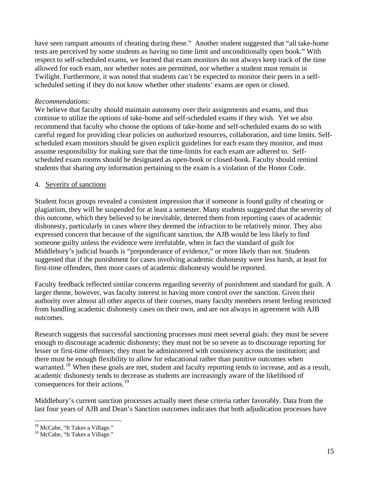<span id="page-14-0"></span>have seen rampant amounts of cheating during these." Another student suggested that "all take-home tests are perceived by some students as having no time limit and unconditionally open book." With respect to self-scheduled exams, we learned that exam monitors do not always keep track of the time allowed for each exam, nor whether notes are permitted, nor whether a student must remain in Twilight. Furthermore, it was noted that students can't be expected to monitor their peers in a selfscheduled setting if they do not know whether other students' exams are open or closed.

#### *Recommendations:*

We believe that faculty should maintain autonomy over their assignments and exams, and thus continue to utilize the options of take-home and self-scheduled exams if they wish. Yet we also recommend that faculty who choose the options of take-home and self-scheduled exams do so with careful regard for providing clear policies on authorized resources, collaboration, and time limits. Selfscheduled exam monitors should be given explicit guidelines for each exam they monitor, and must assume responsibility for making sure that the time-limits for each exam are adhered to. Selfscheduled exam rooms should be designated as open-book or closed-book. Faculty should remind students that sharing *any* information pertaining to the exam is a violation of the Honor Code.

#### 4. Severity of sanctions

Student focus groups revealed a consistent impression that if someone is found guilty of cheating or plagiarism, they will be suspended for at least a semester. Many students suggested that the severity of this outcome, which they believed to be inevitable, deterred them from reporting cases of academic dishonesty, particularly in cases where they deemed the infraction to be relatively minor. They also expressed concern that because of the significant sanction, the AJB would be less likely to find someone guilty unless the evidence were irrefutable, when in fact the standard of guilt for Middlebury's judicial boards is "preponderance of evidence," or more likely than not. Students suggested that if the punishment for cases involving academic dishonesty were less harsh, at least for first-time offenders, then more cases of academic dishonesty would be reported.

Faculty feedback reflected similar concerns regarding severity of punishment and standard for guilt. A larger theme, however, was faculty interest in having more control over the sanction. Given their authority over almost all other aspects of their courses, many faculty members resent feeling restricted from handling academic dishonesty cases on their own, and are not always in agreement with AJB outcomes.

Research suggests that successful sanctioning processes must meet several goals: they must be severe enough to discourage academic dishonesty; they must not be so severe as to discourage reporting for lesser or first-time offenses; they must be administered with consistency across the institution; and there must be enough flexibility to allow for educational rather than punitive outcomes when warranted.<sup>[18](#page-14-0)</sup> When these goals are met, student and faculty reporting tends to increase, and as a result, academic dishonesty tends to decrease as students are increasingly aware of the likelihood of consequences for their actions.<sup>[19](#page-14-0)</sup>

Middlebury's current sanction processes actually meet these criteria rather favorably. Data from the last four years of AJB and Dean's Sanction outcomes indicates that both adjudication processes have

 $\overline{a}$ <sup>18</sup> McCabe, "It Takes a Village."

<sup>&</sup>lt;sup>19</sup> McCabe, "It Takes a Village."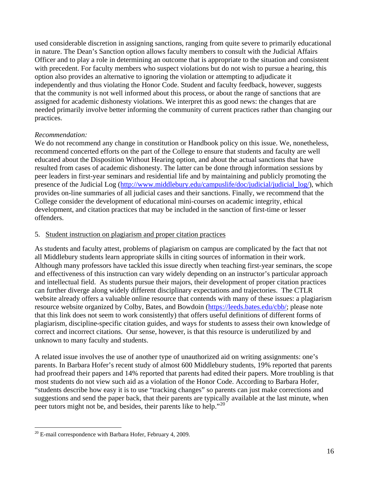<span id="page-15-0"></span>used considerable discretion in assigning sanctions, ranging from quite severe to primarily educational in nature. The Dean's Sanction option allows faculty members to consult with the Judicial Affairs Officer and to play a role in determining an outcome that is appropriate to the situation and consistent with precedent. For faculty members who suspect violations but do not wish to pursue a hearing, this option also provides an alternative to ignoring the violation or attempting to adjudicate it independently and thus violating the Honor Code. Student and faculty feedback, however, suggests that the community is not well informed about this process, or about the range of sanctions that are assigned for academic dishonesty violations. We interpret this as good news: the changes that are needed primarily involve better informing the community of current practices rather than changing our practices.

#### *Recommendation:*

We do not recommend any change in constitution or Handbook policy on this issue. We, nonetheless, recommend concerted efforts on the part of the College to ensure that students and faculty are well educated about the Disposition Without Hearing option, and about the actual sanctions that have resulted from cases of academic dishonesty. The latter can be done through information sessions by peer leaders in first-year seminars and residential life and by maintaining and publicly promoting the presence of the Judicial Log ([http://www.middlebury.edu/campuslife/doc/judicial/judicial\\_log/](http://www.middlebury.edu/campuslife/doc/judicial/judicial_log/)), which provides on-line summaries of all judicial cases and their sanctions. Finally, we recommend that the College consider the development of educational mini-courses on academic integrity, ethical development, and citation practices that may be included in the sanction of first-time or lesser offenders.

#### 5. Student instruction on plagiarism and proper citation practices

As students and faculty attest, problems of plagiarism on campus are complicated by the fact that not all Middlebury students learn appropriate skills in citing sources of information in their work. Although many professors have tackled this issue directly when teaching first-year seminars, the scope and effectiveness of this instruction can vary widely depending on an instructor's particular approach and intellectual field. As students pursue their majors, their development of proper citation practices can further diverge along widely different disciplinary expectations and trajectories. The CTLR website already offers a valuable online resource that contends with many of these issues: a plagiarism resource website organized by Colby, Bates, and Bowdoin ([https://leeds.bates.edu/cbb/;](https://leeds.bates.edu/cbb/) please note that this link does not seem to work consistently) that offers useful definitions of different forms of plagiarism, discipline-specific citation guides, and ways for students to assess their own knowledge of correct and incorrect citations. Our sense, however, is that this resource is underutilized by and unknown to many faculty and students.

A related issue involves the use of another type of unauthorized aid on writing assignments: one's parents. In Barbara Hofer's recent study of almost 600 Middlebury students, 19% reported that parents had proofread their papers and 14% reported that parents had edited their papers. More troubling is that most students do not view such aid as a violation of the Honor Code. According to Barbara Hofer, "students describe how easy it is to use "tracking changes" so parents can just make corrections and suggestions and send the paper back, that their parents are typically available at the last minute, when peer tutors might not be, and besides, their parents like to help."<sup>[20](#page-15-0)</sup>

 $\overline{a}$ 

 $^{20}$  E-mail correspondence with Barbara Hofer, February 4, 2009.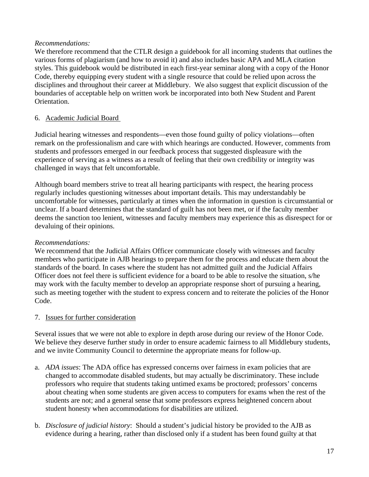#### *Recommendations:*

We therefore recommend that the CTLR design a guidebook for all incoming students that outlines the various forms of plagiarism (and how to avoid it) and also includes basic APA and MLA citation styles. This guidebook would be distributed in each first-year seminar along with a copy of the Honor Code, thereby equipping every student with a single resource that could be relied upon across the disciplines and throughout their career at Middlebury. We also suggest that explicit discussion of the boundaries of acceptable help on written work be incorporated into both New Student and Parent Orientation.

#### 6. Academic Judicial Board

Judicial hearing witnesses and respondents—even those found guilty of policy violations—often remark on the professionalism and care with which hearings are conducted. However, comments from students and professors emerged in our feedback process that suggested displeasure with the experience of serving as a witness as a result of feeling that their own credibility or integrity was challenged in ways that felt uncomfortable.

Although board members strive to treat all hearing participants with respect, the hearing process regularly includes questioning witnesses about important details. This may understandably be uncomfortable for witnesses, particularly at times when the information in question is circumstantial or unclear. If a board determines that the standard of guilt has not been met, or if the faculty member deems the sanction too lenient, witnesses and faculty members may experience this as disrespect for or devaluing of their opinions.

#### *Recommendations:*

We recommend that the Judicial Affairs Officer communicate closely with witnesses and faculty members who participate in AJB hearings to prepare them for the process and educate them about the standards of the board. In cases where the student has not admitted guilt and the Judicial Affairs Officer does not feel there is sufficient evidence for a board to be able to resolve the situation, s/he may work with the faculty member to develop an appropriate response short of pursuing a hearing, such as meeting together with the student to express concern and to reiterate the policies of the Honor Code.

#### 7. Issues for further consideration

Several issues that we were not able to explore in depth arose during our review of the Honor Code. We believe they deserve further study in order to ensure academic fairness to all Middlebury students, and we invite Community Council to determine the appropriate means for follow-up.

- a. *ADA issues*: The ADA office has expressed concerns over fairness in exam policies that are changed to accommodate disabled students, but may actually be discriminatory. These include professors who require that students taking untimed exams be proctored; professors' concerns about cheating when some students are given access to computers for exams when the rest of the students are not; and a general sense that some professors express heightened concern about student honesty when accommodations for disabilities are utilized.
- b. *Disclosure of judicial history*: Should a student's judicial history be provided to the AJB as evidence during a hearing, rather than disclosed only if a student has been found guilty at that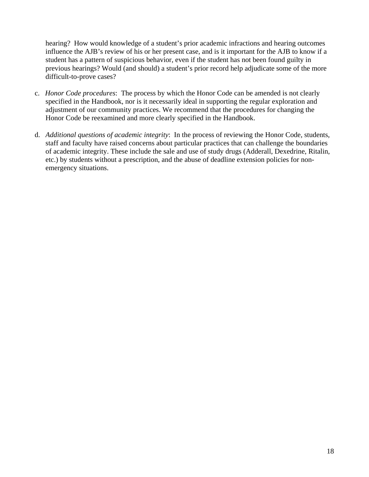hearing? How would knowledge of a student's prior academic infractions and hearing outcomes influence the AJB's review of his or her present case, and is it important for the AJB to know if a student has a pattern of suspicious behavior, even if the student has not been found guilty in previous hearings? Would (and should) a student's prior record help adjudicate some of the more difficult-to-prove cases?

- c. *Honor Code procedures*: The process by which the Honor Code can be amended is not clearly specified in the Handbook, nor is it necessarily ideal in supporting the regular exploration and adjustment of our community practices. We recommend that the procedures for changing the Honor Code be reexamined and more clearly specified in the Handbook.
- d. *Additional questions of academic integrity*: In the process of reviewing the Honor Code, students, staff and faculty have raised concerns about particular practices that can challenge the boundaries of academic integrity. These include the sale and use of study drugs (Adderall, Dexedrine, Ritalin, etc.) by students without a prescription, and the abuse of deadline extension policies for nonemergency situations.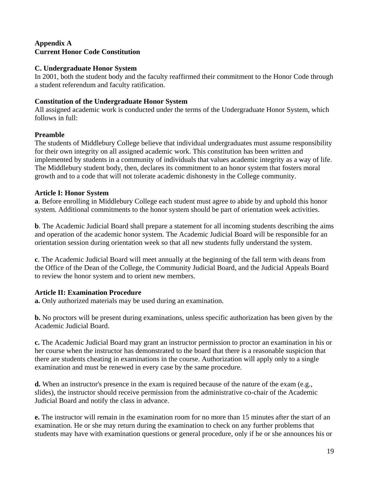# **Appendix A Current Honor Code Constitution**

### **C. Undergraduate Honor System**

In 2001, both the student body and the faculty reaffirmed their commitment to the Honor Code through a student referendum and faculty ratification.

# **Constitution of the Undergraduate Honor System**

All assigned academic work is conducted under the terms of the Undergraduate Honor System, which follows in full:

# **Preamble**

The students of Middlebury College believe that individual undergraduates must assume responsibility for their own integrity on all assigned academic work. This constitution has been written and implemented by students in a community of individuals that values academic integrity as a way of life. The Middlebury student body, then, declares its commitment to an honor system that fosters moral growth and to a code that will not tolerate academic dishonesty in the College community.

# **Article I: Honor System**

**a**. Before enrolling in Middlebury College each student must agree to abide by and uphold this honor system. Additional commitments to the honor system should be part of orientation week activities.

**b**. The Academic Judicial Board shall prepare a statement for all incoming students describing the aims and operation of the academic honor system. The Academic Judicial Board will be responsible for an orientation session during orientation week so that all new students fully understand the system.

**c**. The Academic Judicial Board will meet annually at the beginning of the fall term with deans from the Office of the Dean of the College, the Community Judicial Board, and the Judicial Appeals Board to review the honor system and to orient new members.

# **Article II: Examination Procedure**

**a.** Only authorized materials may be used during an examination.

**b.** No proctors will be present during examinations, unless specific authorization has been given by the Academic Judicial Board.

**c.** The Academic Judicial Board may grant an instructor permission to proctor an examination in his or her course when the instructor has demonstrated to the board that there is a reasonable suspicion that there are students cheating in examinations in the course. Authorization will apply only to a single examination and must be renewed in every case by the same procedure.

**d.** When an instructor's presence in the exam is required because of the nature of the exam (e.g., slides), the instructor should receive permission from the administrative co-chair of the Academic Judicial Board and notify the class in advance.

**e.** The instructor will remain in the examination room for no more than 15 minutes after the start of an examination. He or she may return during the examination to check on any further problems that students may have with examination questions or general procedure, only if he or she announces his or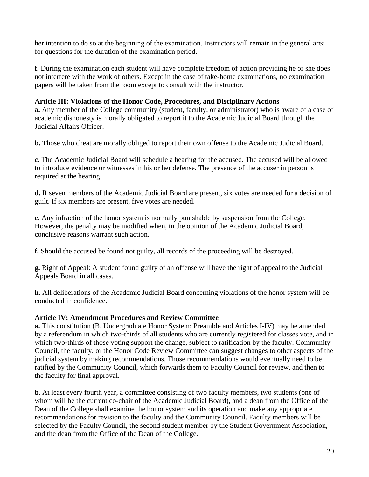her intention to do so at the beginning of the examination. Instructors will remain in the general area for questions for the duration of the examination period.

**f.** During the examination each student will have complete freedom of action providing he or she does not interfere with the work of others. Except in the case of take-home examinations, no examination papers will be taken from the room except to consult with the instructor.

# **Article III: Violations of the Honor Code, Procedures, and Disciplinary Actions**

**a.** Any member of the College community (student, faculty, or administrator) who is aware of a case of academic dishonesty is morally obligated to report it to the Academic Judicial Board through the Judicial Affairs Officer.

**b.** Those who cheat are morally obliged to report their own offense to the Academic Judicial Board.

**c.** The Academic Judicial Board will schedule a hearing for the accused. The accused will be allowed to introduce evidence or witnesses in his or her defense. The presence of the accuser in person is required at the hearing.

**d.** If seven members of the Academic Judicial Board are present, six votes are needed for a decision of guilt. If six members are present, five votes are needed.

**e.** Any infraction of the honor system is normally punishable by suspension from the College. However, the penalty may be modified when, in the opinion of the Academic Judicial Board, conclusive reasons warrant such action.

**f.** Should the accused be found not guilty, all records of the proceeding will be destroyed.

**g.** Right of Appeal: A student found guilty of an offense will have the right of appeal to the Judicial Appeals Board in all cases.

**h.** All deliberations of the Academic Judicial Board concerning violations of the honor system will be conducted in confidence.

#### **Article IV: Amendment Procedures and Review Committee**

**a.** This constitution (B. Undergraduate Honor System: Preamble and Articles I-IV) may be amended by a referendum in which two-thirds of all students who are currently registered for classes vote, and in which two-thirds of those voting support the change, subject to ratification by the faculty. Community Council, the faculty, or the Honor Code Review Committee can suggest changes to other aspects of the judicial system by making recommendations. Those recommendations would eventually need to be ratified by the Community Council, which forwards them to Faculty Council for review, and then to the faculty for final approval.

**b**. At least every fourth year, a committee consisting of two faculty members, two students (one of whom will be the current co-chair of the Academic Judicial Board), and a dean from the Office of the Dean of the College shall examine the honor system and its operation and make any appropriate recommendations for revision to the faculty and the Community Council. Faculty members will be selected by the Faculty Council, the second student member by the Student Government Association, and the dean from the Office of the Dean of the College.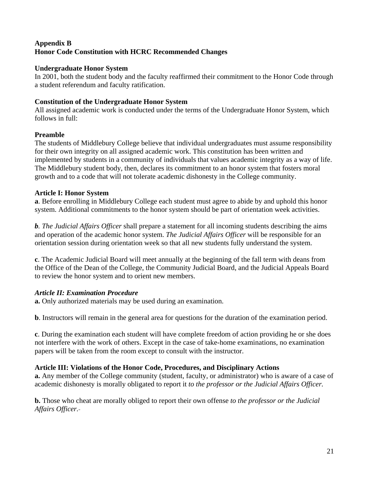# **Appendix B Honor Code Constitution with HCRC Recommended Changes**

### **Undergraduate Honor System**

In 2001, both the student body and the faculty reaffirmed their commitment to the Honor Code through a student referendum and faculty ratification.

# **Constitution of the Undergraduate Honor System**

All assigned academic work is conducted under the terms of the Undergraduate Honor System, which follows in full:

# **Preamble**

The students of Middlebury College believe that individual undergraduates must assume responsibility for their own integrity on all assigned academic work. This constitution has been written and implemented by students in a community of individuals that values academic integrity as a way of life. The Middlebury student body, then, declares its commitment to an honor system that fosters moral growth and to a code that will not tolerate academic dishonesty in the College community.

# **Article I: Honor System**

**a**. Before enrolling in Middlebury College each student must agree to abide by and uphold this honor system. Additional commitments to the honor system should be part of orientation week activities.

*b. The Judicial Affairs Officer* shall prepare a statement for all incoming students describing the aims and operation of the academic honor system. *The Judicial Affairs Officer* will be responsible for an orientation session during orientation week so that all new students fully understand the system.

**c**. The Academic Judicial Board will meet annually at the beginning of the fall term with deans from the Office of the Dean of the College, the Community Judicial Board, and the Judicial Appeals Board to review the honor system and to orient new members.

# *Article II: Examination Procedure*

**a.** Only authorized materials may be used during an examination.

**b**. Instructors will remain in the general area for questions for the duration of the examination period.

**c**. During the examination each student will have complete freedom of action providing he or she does not interfere with the work of others. Except in the case of take-home examinations, no examination papers will be taken from the room except to consult with the instructor.

# **Article III: Violations of the Honor Code, Procedures, and Disciplinary Actions**

**a.** Any member of the College community (student, faculty, or administrator) who is aware of a case of academic dishonesty is morally obligated to report it *to the professor or the Judicial Affairs Officer.* 

**b.** Those who cheat are morally obliged to report their own offense *to the professor or the Judicial Affairs Officer.*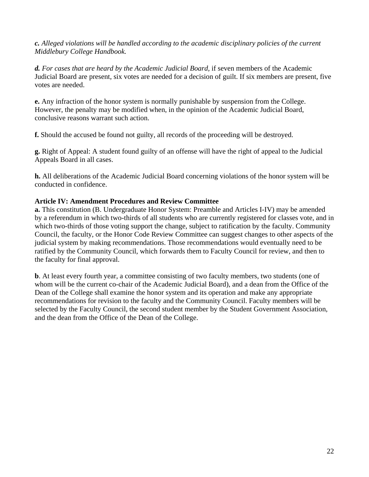#### *c. Alleged violations will be handled according to the academic disciplinary policies of the current Middlebury College Handbook.*

*d. For cases that are heard by the Academic Judicial Board,* if seven members of the Academic Judicial Board are present, six votes are needed for a decision of guilt. If six members are present, five votes are needed.

**e.** Any infraction of the honor system is normally punishable by suspension from the College. However, the penalty may be modified when, in the opinion of the Academic Judicial Board, conclusive reasons warrant such action.

**f.** Should the accused be found not guilty, all records of the proceeding will be destroyed.

**g.** Right of Appeal: A student found guilty of an offense will have the right of appeal to the Judicial Appeals Board in all cases.

**h.** All deliberations of the Academic Judicial Board concerning violations of the honor system will be conducted in confidence.

#### **Article IV: Amendment Procedures and Review Committee**

**a.** This constitution (B. Undergraduate Honor System: Preamble and Articles I-IV) may be amended by a referendum in which two-thirds of all students who are currently registered for classes vote, and in which two-thirds of those voting support the change, subject to ratification by the faculty. Community Council, the faculty, or the Honor Code Review Committee can suggest changes to other aspects of the judicial system by making recommendations. Those recommendations would eventually need to be ratified by the Community Council, which forwards them to Faculty Council for review, and then to the faculty for final approval.

**b**. At least every fourth year, a committee consisting of two faculty members, two students (one of whom will be the current co-chair of the Academic Judicial Board), and a dean from the Office of the Dean of the College shall examine the honor system and its operation and make any appropriate recommendations for revision to the faculty and the Community Council. Faculty members will be selected by the Faculty Council, the second student member by the Student Government Association, and the dean from the Office of the Dean of the College.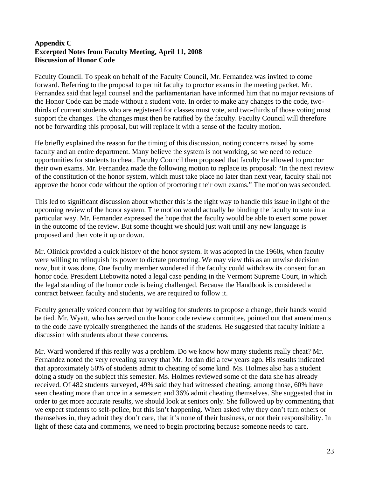### **Appendix C Excerpted Notes from Faculty Meeting, April 11, 2008 Discussion of Honor Code**

Faculty Council. To speak on behalf of the Faculty Council, Mr. Fernandez was invited to come forward. Referring to the proposal to permit faculty to proctor exams in the meeting packet, Mr. Fernandez said that legal counsel and the parliamentarian have informed him that no major revisions of the Honor Code can be made without a student vote. In order to make any changes to the code, twothirds of current students who are registered for classes must vote, and two-thirds of those voting must support the changes. The changes must then be ratified by the faculty. Faculty Council will therefore not be forwarding this proposal, but will replace it with a sense of the faculty motion.

He briefly explained the reason for the timing of this discussion, noting concerns raised by some faculty and an entire department. Many believe the system is not working, so we need to reduce opportunities for students to cheat. Faculty Council then proposed that faculty be allowed to proctor their own exams. Mr. Fernandez made the following motion to replace its proposal: "In the next review of the constitution of the honor system, which must take place no later than next year, faculty shall not approve the honor code without the option of proctoring their own exams." The motion was seconded.

This led to significant discussion about whether this is the right way to handle this issue in light of the upcoming review of the honor system. The motion would actually be binding the faculty to vote in a particular way. Mr. Fernandez expressed the hope that the faculty would be able to exert some power in the outcome of the review. But some thought we should just wait until any new language is proposed and then vote it up or down.

Mr. Olinick provided a quick history of the honor system. It was adopted in the 1960s, when faculty were willing to relinquish its power to dictate proctoring. We may view this as an unwise decision now, but it was done. One faculty member wondered if the faculty could withdraw its consent for an honor code. President Liebowitz noted a legal case pending in the Vermont Supreme Court, in which the legal standing of the honor code is being challenged. Because the Handbook is considered a contract between faculty and students, we are required to follow it.

Faculty generally voiced concern that by waiting for students to propose a change, their hands would be tied. Mr. Wyatt, who has served on the honor code review committee, pointed out that amendments to the code have typically strengthened the hands of the students. He suggested that faculty initiate a discussion with students about these concerns.

Mr. Ward wondered if this really was a problem. Do we know how many students really cheat? Mr. Fernandez noted the very revealing survey that Mr. Jordan did a few years ago. His results indicated that approximately 50% of students admit to cheating of some kind. Ms. Holmes also has a student doing a study on the subject this semester. Ms. Holmes reviewed some of the data she has already received. Of 482 students surveyed, 49% said they had witnessed cheating; among those, 60% have seen cheating more than once in a semester; and 36% admit cheating themselves. She suggested that in order to get more accurate results, we should look at seniors only. She followed up by commenting that we expect students to self-police, but this isn't happening. When asked why they don't turn others or themselves in, they admit they don't care, that it's none of their business, or not their responsibility. In light of these data and comments, we need to begin proctoring because someone needs to care.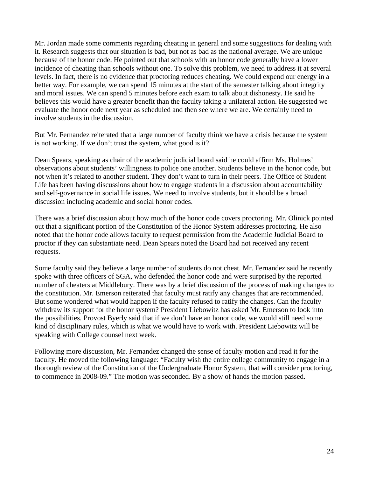Mr. Jordan made some comments regarding cheating in general and some suggestions for dealing with it. Research suggests that our situation is bad, but not as bad as the national average. We are unique because of the honor code. He pointed out that schools with an honor code generally have a lower incidence of cheating than schools without one. To solve this problem, we need to address it at several levels. In fact, there is no evidence that proctoring reduces cheating. We could expend our energy in a better way. For example, we can spend 15 minutes at the start of the semester talking about integrity and moral issues. We can spend 5 minutes before each exam to talk about dishonesty. He said he believes this would have a greater benefit than the faculty taking a unilateral action. He suggested we evaluate the honor code next year as scheduled and then see where we are. We certainly need to involve students in the discussion.

But Mr. Fernandez reiterated that a large number of faculty think we have a crisis because the system is not working. If we don't trust the system, what good is it?

Dean Spears, speaking as chair of the academic judicial board said he could affirm Ms. Holmes' observations about students' willingness to police one another. Students believe in the honor code, but not when it's related to another student. They don't want to turn in their peers. The Office of Student Life has been having discussions about how to engage students in a discussion about accountability and self-governance in social life issues. We need to involve students, but it should be a broad discussion including academic and social honor codes.

There was a brief discussion about how much of the honor code covers proctoring. Mr. Olinick pointed out that a significant portion of the Constitution of the Honor System addresses proctoring. He also noted that the honor code allows faculty to request permission from the Academic Judicial Board to proctor if they can substantiate need. Dean Spears noted the Board had not received any recent requests.

Some faculty said they believe a large number of students do not cheat. Mr. Fernandez said he recently spoke with three officers of SGA, who defended the honor code and were surprised by the reported number of cheaters at Middlebury. There was by a brief discussion of the process of making changes to the constitution. Mr. Emerson reiterated that faculty must ratify any changes that are recommended. But some wondered what would happen if the faculty refused to ratify the changes. Can the faculty withdraw its support for the honor system? President Liebowitz has asked Mr. Emerson to look into the possibilities. Provost Byerly said that if we don't have an honor code, we would still need some kind of disciplinary rules, which is what we would have to work with. President Liebowitz will be speaking with College counsel next week.

Following more discussion, Mr. Fernandez changed the sense of faculty motion and read it for the faculty. He moved the following language: "Faculty wish the entire college community to engage in a thorough review of the Constitution of the Undergraduate Honor System, that will consider proctoring, to commence in 2008-09." The motion was seconded. By a show of hands the motion passed.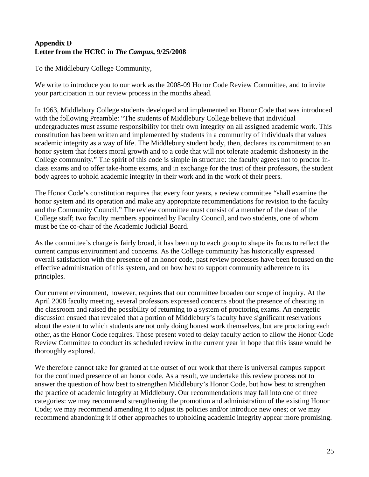# **Appendix D Letter from the HCRC in** *The Campus***, 9/25/2008**

To the Middlebury College Community,

We write to introduce you to our work as the 2008-09 Honor Code Review Committee, and to invite your participation in our review process in the months ahead.

In 1963, Middlebury College students developed and implemented an Honor Code that was introduced with the following Preamble: "The students of Middlebury College believe that individual undergraduates must assume responsibility for their own integrity on all assigned academic work. This constitution has been written and implemented by students in a community of individuals that values academic integrity as a way of life. The Middlebury student body, then, declares its commitment to an honor system that fosters moral growth and to a code that will not tolerate academic dishonesty in the College community." The spirit of this code is simple in structure: the faculty agrees not to proctor inclass exams and to offer take-home exams, and in exchange for the trust of their professors, the student body agrees to uphold academic integrity in their work and in the work of their peers.

The Honor Code's constitution requires that every four years, a review committee "shall examine the honor system and its operation and make any appropriate recommendations for revision to the faculty and the Community Council." The review committee must consist of a member of the dean of the College staff; two faculty members appointed by Faculty Council, and two students, one of whom must be the co-chair of the Academic Judicial Board.

As the committee's charge is fairly broad, it has been up to each group to shape its focus to reflect the current campus environment and concerns. As the College community has historically expressed overall satisfaction with the presence of an honor code, past review processes have been focused on the effective administration of this system, and on how best to support community adherence to its principles.

Our current environment, however, requires that our committee broaden our scope of inquiry. At the April 2008 faculty meeting, several professors expressed concerns about the presence of cheating in the classroom and raised the possibility of returning to a system of proctoring exams. An energetic discussion ensued that revealed that a portion of Middlebury's faculty have significant reservations about the extent to which students are not only doing honest work themselves, but are proctoring each other, as the Honor Code requires. Those present voted to delay faculty action to allow the Honor Code Review Committee to conduct its scheduled review in the current year in hope that this issue would be thoroughly explored.

We therefore cannot take for granted at the outset of our work that there is universal campus support for the continued presence of an honor code. As a result, we undertake this review process not to answer the question of how best to strengthen Middlebury's Honor Code, but how best to strengthen the practice of academic integrity at Middlebury. Our recommendations may fall into one of three categories: we may recommend strengthening the promotion and administration of the existing Honor Code; we may recommend amending it to adjust its policies and/or introduce new ones; or we may recommend abandoning it if other approaches to upholding academic integrity appear more promising.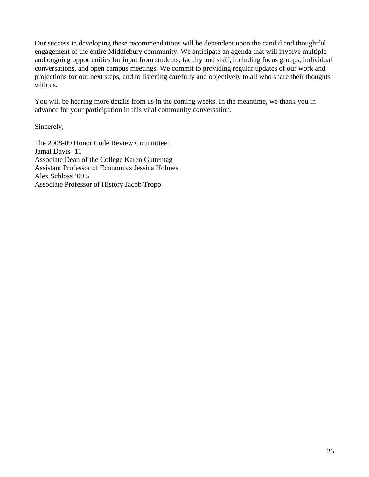Our success in developing these recommendations will be dependent upon the candid and thoughtful engagement of the entire Middlebury community. We anticipate an agenda that will involve multiple and ongoing opportunities for input from students, faculty and staff, including focus groups, individual conversations, and open campus meetings. We commit to providing regular updates of our work and projections for our next steps, and to listening carefully and objectively to all who share their thoughts with us.

You will be hearing more details from us in the coming weeks. In the meantime, we thank you in advance for your participation in this vital community conversation.

Sincerely,

The 2008-09 Honor Code Review Committee: Jamal Davis '11 Associate Dean of the College Karen Guttentag Assistant Professor of Economics Jessica Holmes Alex Schloss '09.5 Associate Professor of History Jacob Tropp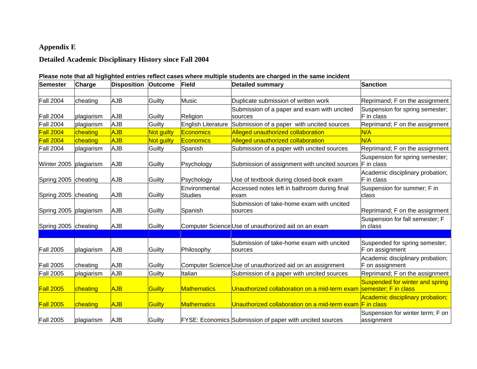# **Appendix E**

# **Detailed Academic Disciplinary History since Fall 2004**

| Please note that all higlighted entries reflect cases where multiple students are charged in the same incident |  |
|----------------------------------------------------------------------------------------------------------------|--|
|                                                                                                                |  |

| Semester         | <b>Charge</b> | <b>Disposition Outcome</b> |            | Field                                   | <b>Detailed summary</b>                                            | <b>Sanction</b>                                       |
|------------------|---------------|----------------------------|------------|-----------------------------------------|--------------------------------------------------------------------|-------------------------------------------------------|
|                  |               |                            |            |                                         |                                                                    |                                                       |
| <b>Fall 2004</b> | cheating      | <b>AJB</b>                 | Guilty     | <b>Music</b>                            | Duplicate submission of written work                               | Reprimand; F on the assignment                        |
| <b>Fall 2004</b> | plagiarism    | <b>AJB</b>                 | Guilty     | Religion                                | Submission of a paper and exam with uncited<br><b>sources</b>      | Suspension for spring semester;<br>F in class         |
| <b>Fall 2004</b> | plagiarism    | <b>AJB</b>                 | Guilty     | English Literature                      | Submission of a paper with uncited sources                         | Reprimand; F on the assignment                        |
| <b>Fall 2004</b> | cheating      | <b>AJB</b>                 | Not guilty | <b>Economics</b>                        | Alleged unauthorized collaboration                                 | N/A                                                   |
| <b>Fall 2004</b> | cheating      | <b>AJB</b>                 | Not guilty | Economics                               | Alleged unauthorized collaboration                                 | N/A                                                   |
| <b>Fall 2004</b> | plagiarism    | <b>AJB</b>                 | Guilty     | Spanish                                 | Submission of a paper with uncited sources                         | Reprimand; F on the assignment                        |
| Winter 2005      | plagiarism    | AJB                        | Guilty     | Psychology                              | Submission of assignment with uncited sources                      | Suspension for spring semester;<br><b>F</b> in class  |
| Spring 2005      | cheating      | AJB                        | Guilty     | Psychology                              | Use of textbook during closed-book exam                            | Academic disciplinary probation;<br>F in class        |
| Spring 2005      | cheating      | AJB                        | Guilty     | <b>IEnvironmental</b><br><b>Studies</b> | Accessed notes left in bathroom during final<br>exam               | Suspension for summer; F in<br>class                  |
| Spring 2005      | plagiarism    | <b>AJB</b>                 | Guilty     | Spanish                                 | Submission of take-home exam with uncited<br>sources               | Reprimand; F on the assignment                        |
| Spring 2005      | cheating      | <b>AJB</b>                 | Guilty     |                                         | Computer Science Use of unauthorized aid on an exam                | Suspension for fall semester; F<br>in class           |
|                  |               |                            |            |                                         |                                                                    |                                                       |
| <b>Fall 2005</b> | plagiarism    | AJB                        | Guilty     | Philosophy                              | Submission of take-home exam with uncited<br>Isources              | Suspended for spring semester;<br>F on assignment     |
| <b>Fall 2005</b> | cheating      | AJB                        | Guilty     |                                         | Computer Science Use of unauthorized aid on an assignment          | Academic disciplinary probation;<br>F on assignment   |
| <b>Fall 2005</b> | plagiarism    | AJB                        | Guilty     | Italian                                 | Submission of a paper with uncited sources                         | Reprimand; F on the assignment                        |
| <b>Fall 2005</b> | cheating      | <b>AJB</b>                 | Guilty     | Mathematics                             | Unauthorized collaboration on a mid-term exam Semester; F in class | Suspended for winter and spring                       |
| <b>Fall 2005</b> | cheating      | <b>AJB</b>                 | Guilty     | Mathematics                             | Unauthorized collaboration on a mid-term exam                      | Academic disciplinary probation;<br><b>F</b> in class |
| <b>Fall 2005</b> | plagiarism    | AJB                        | Guilty     |                                         | <b>FYSE: Economics Submission of paper with uncited sources</b>    | Suspension for winter term; F on<br>assignment        |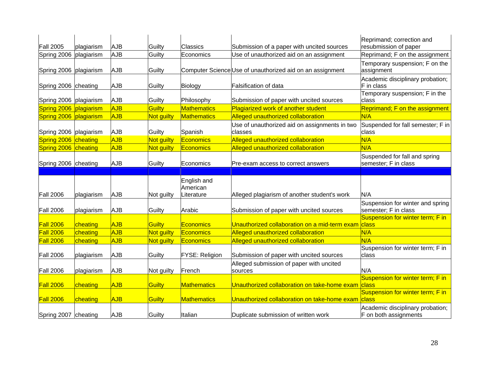| <b>Fall 2005</b>     | plagiarism | AJB        | Guilty     | <b>Classics</b>         | Submission of a paper with uncited sources                | Reprimand; correction and<br>resubmission of paper       |
|----------------------|------------|------------|------------|-------------------------|-----------------------------------------------------------|----------------------------------------------------------|
| Spring 2006          | plagiarism | <b>AJB</b> | Guilty     | Economics               | Use of unauthorized aid on an assignment                  | Reprimand; F on the assignment                           |
| Spring 2006          | plagiarism | <b>AJB</b> | Guilty     |                         | Computer Science Use of unauthorized aid on an assignment | Temporary suspension; F on the<br>assignment             |
| Spring 2006 cheating |            | AJB        | Guilty     | Biology                 | <b>Falsification of data</b>                              | Academic disciplinary probation;<br>F in class           |
| Spring 2006          | plagiarism | <b>AJB</b> | Guilty     | Philosophy              | Submission of paper with uncited sources                  | Temporary suspension; F in the<br>class                  |
| Spring 2006          | plagiarism | <b>AJB</b> | Guilty     | Mathematics             | Plagiarized work of another student                       | Reprimand; F on the assignment                           |
| Spring 2006          | plagiarism | <b>AJB</b> | Not guilty | Mathematics             | Alleged unauthorized collaboration                        | N/A                                                      |
| Spring 2006          | plagiarism | AJB        | Guilty     | Spanish                 | Use of unauthorized aid on assignments in two<br>classes  | Suspended for fall semester; F in<br>class               |
| Spring 2006          | cheating   | <b>AJB</b> | Not guilty | Economics               | Alleged unauthorized collaboration                        | N/A                                                      |
| Spring 2006          | cheating   | <b>AJB</b> | Not guilty | <b>Economics</b>        | Alleged unauthorized collaboration                        | N/A                                                      |
| Spring 2006          | cheating   | <b>AJB</b> | Guilty     | Economics               | Pre-exam access to correct answers                        | Suspended for fall and spring<br>semester; F in class    |
|                      |            |            |            |                         |                                                           |                                                          |
|                      |            |            |            | English and<br>American |                                                           |                                                          |
| <b>Fall 2006</b>     | plagiarism | AJB        | Not guilty | Literature              | Alleged plagiarism of another student's work              | N/A                                                      |
| <b>Fall 2006</b>     | plagiarism | <b>AJB</b> | Guilty     | Arabic                  | Submission of paper with uncited sources                  | Suspension for winter and spring<br>semester; F in class |
| Fall 2006            | cheating   | <b>AJB</b> | Guilty     | <b>Economics</b>        | Unauthorized collaboration on a mid-term exam             | Suspension for winter term; F in<br>class                |
| <b>Fall 2006</b>     | cheating   | <b>AJB</b> | Not guilty | <b>Economics</b>        | Alleged unauthorized collaboration                        | N/A                                                      |
| <b>Fall 2006</b>     | cheating   | <b>AJB</b> | Not guilty | Economics               | Alleged unauthorized collaboration                        | N/A                                                      |
| <b>Fall 2006</b>     | plagiarism | <b>AJB</b> | Guilty     | <b>FYSE: Religion</b>   | Submission of paper with uncited sources                  | Suspension for winter term; F in<br>class                |
| <b>Fall 2006</b>     | plagiarism | <b>AJB</b> | Not guilty | French                  | Alleged submission of paper with uncited<br>sources       | N/A                                                      |
| Fall 2006            | cheating   | <b>AJB</b> | Guilty     | Mathematics             | Unauthorized collaboration on take-home exam              | Suspension for winter term; F in<br>class                |
| <b>Fall 2006</b>     | cheating   | <b>AJB</b> | Guilty     | <b>Mathematics</b>      | Unauthorized collaboration on take-home exam              | Suspension for winter term; F in<br>class                |
|                      |            |            |            |                         |                                                           |                                                          |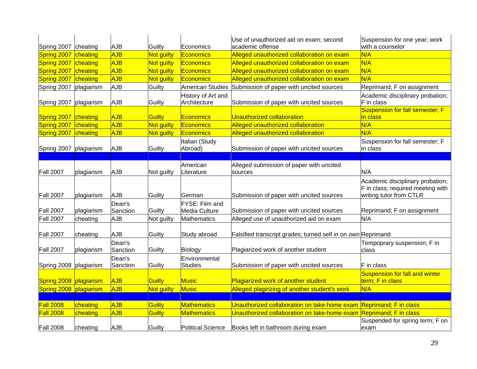| Spring 2007        | cheating   | <b>AJB</b>         | Guilty            | Economics                          | Use of unauthorized aid on exam; second<br>academic offense        | Suspension for one year; work<br>with a counselor                                                |
|--------------------|------------|--------------------|-------------------|------------------------------------|--------------------------------------------------------------------|--------------------------------------------------------------------------------------------------|
| Spring 2007        | cheating   | AJB                | Not guilty        | <b>Economics</b>                   | Alleged unauthorized collaboration on exam                         | N/A                                                                                              |
| Spring 2007        | cheating   | AJB                | Not guilty        | Economics                          | Alleged unauthorized collaboration on exam                         | N/A                                                                                              |
| Spring 2007        | cheating   | AJB                | Not guilty        | Economics                          | Alleged unauthorized collaboration on exam                         | N/A                                                                                              |
| Spring 2007        | cheating   | AJB                | Not guilty        | Economics                          | Alleged unauthorized collaboration on exam                         | N/A                                                                                              |
| Spring 2007        | plagiarism | <b>AJB</b>         | Guilty            | American Studies                   | Submission of paper with uncited sources                           | Reprimand; F on assignment                                                                       |
| Spring 2007        | plagiarism | <b>AJB</b>         | Guilty            | History of Art and<br>Architecture | Submission of paper with uncited sources                           | Academic disciplinary probation;<br>F in class                                                   |
| <b>Spring 2007</b> | cheating   | AJB                | Guilty            | <b>Economics</b>                   | <b>Unauthorized collaboration</b>                                  | <b>Suspension for fall semester; F</b><br>in class                                               |
| Spring 2007        | cheating   | AJB                | Not guilty        | Economics                          | Alleged unauthorized collaboration                                 | N/A                                                                                              |
| Spring 2007        | cheating   | AJB                | Not guilty        | Economics                          | Alleged unauthorized collaboration                                 | N/A                                                                                              |
| Spring 2007        | plagiarism | <b>AJB</b>         | Guilty            | Italian (Study<br>Abroad)          | Submission of paper with uncited sources                           | Suspension for fall semester; F<br>in class                                                      |
|                    |            |                    |                   | American                           | Alleged submission of paper with uncited                           |                                                                                                  |
| Fall 2007          | plagiarism | <b>AJB</b>         | Not guilty        | Literature                         | sources                                                            | N/A                                                                                              |
| <b>Fall 2007</b>   | plagiarism | <b>AJB</b>         | Guilty            | lGerman                            | Submission of paper with uncited sources                           | Academic disciplinary probation;<br>F in class; required meeting with<br>writing tutor from CTLR |
|                    |            | Dean's             |                   | FYSE: Film and                     |                                                                    |                                                                                                  |
| <b>Fall 2007</b>   | plagiarism | Sanction           | Guilty            | Media Culture                      | Submission of paper with uncited sources                           | Reprimand; F on assignment                                                                       |
| <b>Fall 2007</b>   | cheating   | <b>AJB</b>         | Not guilty        | <b>Mathematics</b>                 | Alleged use of unauthorized aid on exam                            | N/A                                                                                              |
| <b>Fall 2007</b>   | cheating   | <b>AJB</b>         | Guilty            | Study abroad                       | Falsified transcript grades; turned self in on own Reprimand       |                                                                                                  |
| <b>Fall 2007</b>   | plagiarism | Dean's<br>Sanction | Guilty            | Biology                            | Plagiarized work of another student                                | Tempoprary suspension; F in<br>class                                                             |
| Spring 2008        | plagiarism | Dean's<br>Sanction | Guilty            | Environmental<br><b>Studies</b>    | Submission of paper with uncited sources                           | F in class                                                                                       |
| Spring 2008        | plagiarism | AJB                | Guilty            | <b>Music</b>                       | Plagiarized work of another student                                | Suspension for fall and winter<br>term; F in class                                               |
| Spring 2008        | plagiarism | <b>AJB</b>         | <b>Not guilty</b> | <b>Music</b>                       | Alleged plagirizing of another student's work                      | N/A                                                                                              |
|                    |            |                    |                   |                                    |                                                                    |                                                                                                  |
| <b>Fall 2008</b>   | cheating   | AJB                | <b>Guilty</b>     | <b>Mathematics</b>                 | Unauthorized collaboration on take-home exam Reprimand; F in class |                                                                                                  |
| <b>Fall 2008</b>   | cheating   | <b>AJB</b>         | Guilty            | <b>Mathematics</b>                 | Unauthorized collaboration on take-home exam                       | <b>Reprimand</b> ; F in class                                                                    |
| <b>Fall 2008</b>   | cheating   | <b>AJB</b>         | Guilty            | <b>Political Science</b>           | Books left in bathroom during exam                                 | Suspended for spring term; F on<br>exam                                                          |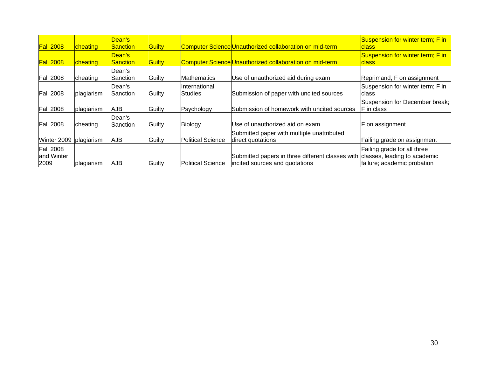| <b>Fall 2008</b>                       | cheating   | Dean's<br><b>Sanction</b> | Guilty |                           | Computer Science Unauthorized collaboration on mid-term                            | Suspension for winter term; F in<br><b>class</b>                                           |
|----------------------------------------|------------|---------------------------|--------|---------------------------|------------------------------------------------------------------------------------|--------------------------------------------------------------------------------------------|
| <b>Fall 2008</b>                       | cheating   | Dean's<br>Sanction        | Guilty |                           | Computer Science Unauthorized collaboration on mid-term                            | Suspension for winter term; F in<br>class                                                  |
| <b>Fall 2008</b>                       | cheating   | lDean's<br>Sanction       | Guilty | <b>Mathematics</b>        | Use of unauthorized aid during exam                                                | Reprimand; F on assignment                                                                 |
| <b>Fall 2008</b>                       | plagiarism | Dean's<br>lSanction.      | Guilty | IInternational<br>Studies | Submission of paper with uncited sources                                           | Suspension for winter term; F in<br>class                                                  |
| <b>Fall 2008</b>                       | plagiarism | AJB                       | Guilty | Psychology                | Submission of homework with uncited sources                                        | Suspension for December break;<br>F in class                                               |
| <b>Fall 2008</b>                       | cheating   | Dean's<br>Sanction        | Guilty | Biology                   | Use of unauthorized aid on exam                                                    | on assignment                                                                              |
| Winter 2009                            | plagiarism | AJB                       | Guilty | <b>Political Science</b>  | Submitted paper with multiple unattributed<br>direct quotations                    | Failing grade on assignment                                                                |
| <b>Fall 2008</b><br>and Winter<br>2009 | plagiarism | AJB                       | Guilty | <b>Political Science</b>  | Submitted papers in three different classes with<br>incited sources and quotations | Failing grade for all three<br>classes, leading to academic<br>failure; academic probation |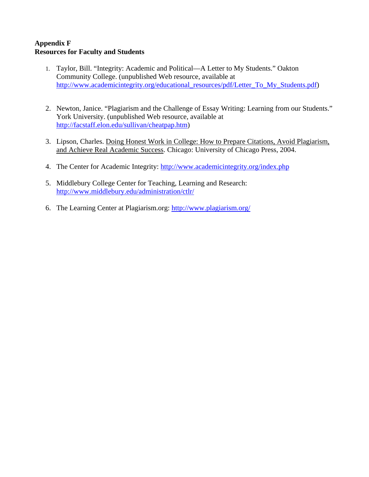#### **Appendix F Resources for Faculty and Students**

- 1. Taylor, Bill. "Integrity: Academic and Political—A Letter to My Students." Oakton Community College. (unpublished Web resource, available at [http://www.academicintegrity.org/educational\\_resources/pdf/Letter\\_To\\_My\\_Students.pdf\)](http://www.academicintegrity.org/educational_resources/pdf/Letter_To_My_Students.pdf)
- 2. Newton, Janice. "Plagiarism and the Challenge of Essay Writing: Learning from our Students." York University. (unpublished Web resource, available at <http://facstaff.elon.edu/sullivan/cheatpap.htm>)
- 3. Lipson, Charles. Doing Honest Work in College: How to Prepare Citations, Avoid Plagiarism, and Achieve Real Academic Success. Chicago: University of Chicago Press, 2004.
- 4. The Center for Academic Integrity: <http://www.academicintegrity.org/index.php>
- 5. Middlebury College Center for Teaching, Learning and Research: <http://www.middlebury.edu/administration/ctlr/>
- 6. The Learning Center at Plagiarism.org: <http://www.plagiarism.org/>